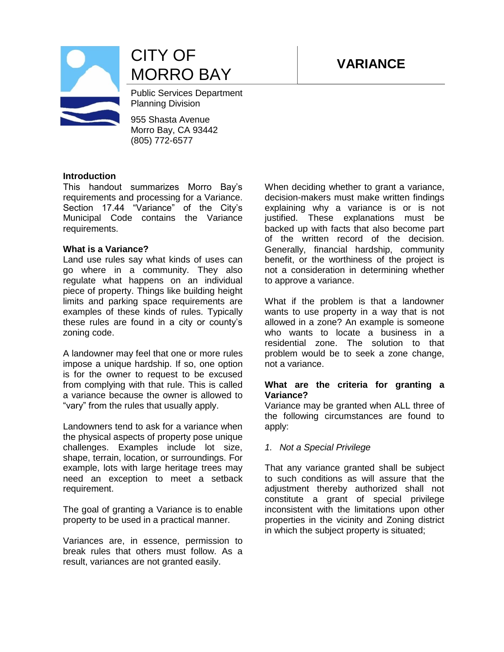



CITY OF MORRO BAY **VARIANCE**

Public Services Department Planning Division

955 Shasta Avenue Morro Bay, CA 93442 (805) 772-6577

#### **Introduction**

This handout summarizes Morro Bay's requirements and processing for a Variance. Section 17.44 "Variance" of the City's Municipal Code contains the Variance requirements.

### **What is a Variance?**

Land use rules say what kinds of uses can go where in a community. They also regulate what happens on an individual piece of property. Things like building height limits and parking space requirements are examples of these kinds of rules. Typically these rules are found in a city or county's zoning code.

A landowner may feel that one or more rules impose a unique hardship. If so, one option is for the owner to request to be excused from complying with that rule. This is called a variance because the owner is allowed to "vary" from the rules that usually apply.

Landowners tend to ask for a variance when the physical aspects of property pose unique challenges. Examples include lot size, shape, terrain, location, or surroundings. For example, lots with large heritage trees may need an exception to meet a setback requirement.

The goal of granting a Variance is to enable property to be used in a practical manner.

Variances are, in essence, permission to break rules that others must follow. As a result, variances are not granted easily.

When deciding whether to grant a variance, decision-makers must make written findings explaining why a variance is or is not justified. These explanations must be backed up with facts that also become part of the written record of the decision. Generally, financial hardship, community benefit, or the worthiness of the project is not a consideration in determining whether to approve a variance.

What if the problem is that a landowner wants to use property in a way that is not allowed in a zone? An example is someone who wants to locate a business in a residential zone. The solution to that problem would be to seek a zone change, not a variance.

### **What are the criteria for granting a Variance?**

Variance may be granted when ALL three of the following circumstances are found to apply:

### *1. Not a Special Privilege*

That any variance granted shall be subject to such conditions as will assure that the adjustment thereby authorized shall not constitute a grant of special privilege inconsistent with the limitations upon other properties in the vicinity and Zoning district in which the subject property is situated;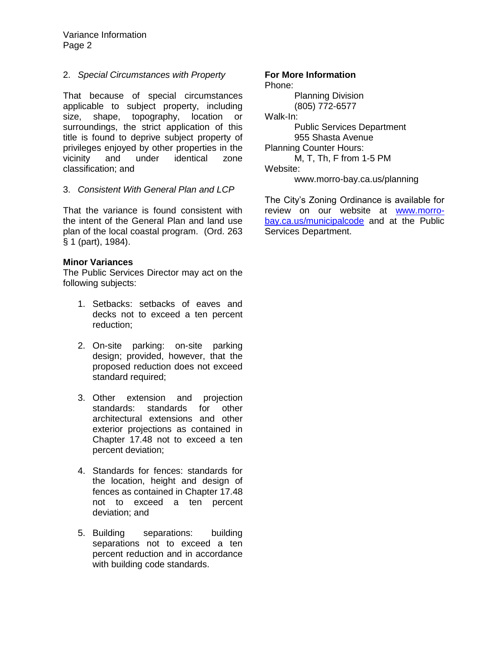Variance Information Page 2

### 2. *Special Circumstances with Property*

That because of special circumstances applicable to subject property, including size, shape, topography, location or surroundings, the strict application of this title is found to deprive subject property of privileges enjoyed by other properties in the vicinity and under identical zone classification; and

### 3. *Consistent With General Plan and LCP*

That the variance is found consistent with the intent of the General Plan and land use plan of the local coastal program. (Ord. 263 § 1 (part), 1984).

### **Minor Variances**

The Public Services Director may act on the following subjects:

- 1. Setbacks: setbacks of eaves and decks not to exceed a ten percent reduction;
- 2. On-site parking: on-site parking design; provided, however, that the proposed reduction does not exceed standard required;
- 3. Other extension and projection standards: standards for other architectural extensions and other exterior projections as contained i[n](http://library.municode.com/HTML/16505/level2/TIT17ZO_CH17.48GERECOEX.html#TIT17ZO_CH17.48GERECOEX) [Chapter 17.48](http://library.municode.com/HTML/16505/level2/TIT17ZO_CH17.48GERECOEX.html#TIT17ZO_CH17.48GERECOEX) not to exceed a ten percent deviation;
- 4. Standards for fences: standards for the location, height and design of fences as contained in [Chapter 17.48](http://library.municode.com/HTML/16505/level2/TIT17ZO_CH17.48GERECOEX.html#TIT17ZO_CH17.48GERECOEX) not to exceed a ten percent deviation; and
- 5. Building separations: building separations not to exceed a ten percent reduction and in accordance with building code standards.

### **For More Information**

Phone: Planning Division (805) 772-6577 Walk-In: Public Services Department 955 Shasta Avenue Planning Counter Hours: M, T, Th, F from 1-5 PM

Website:

www.morro-bay.ca.us/planning

The City's Zoning Ordinance is available for review on our website at [www.morro](http://www.morro-bay.ca.us/municipalcode)[bay.ca.us/municipalcode](http://www.morro-bay.ca.us/municipalcode) and at the Public Services Department.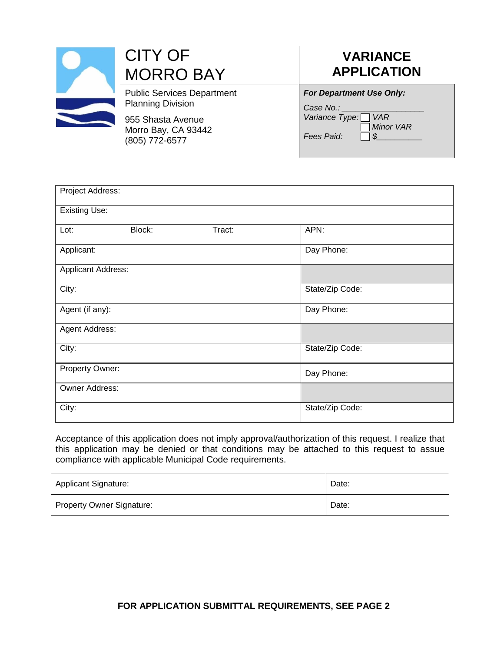

## **VARIANCE APPLICATION**

| <b>For Department Use Only:</b> |  |  |
|---------------------------------|--|--|
|                                 |  |  |

Case No.: *Variance Type: VAR Minor VAR Fees Paid:* 

| Project Address:          |                 |                 |  |  |  |  |
|---------------------------|-----------------|-----------------|--|--|--|--|
| <b>Existing Use:</b>      |                 |                 |  |  |  |  |
| Block:<br>Lot:            | Tract:          | APN:            |  |  |  |  |
| Applicant:                | Day Phone:      |                 |  |  |  |  |
| <b>Applicant Address:</b> |                 |                 |  |  |  |  |
| City:                     |                 | State/Zip Code: |  |  |  |  |
| Agent (if any):           |                 | Day Phone:      |  |  |  |  |
| Agent Address:            |                 |                 |  |  |  |  |
| City:                     | State/Zip Code: |                 |  |  |  |  |
| Property Owner:           | Day Phone:      |                 |  |  |  |  |
| Owner Address:            |                 |                 |  |  |  |  |
| City:                     |                 | State/Zip Code: |  |  |  |  |

Acceptance of this application does not imply approval/authorization of this request. I realize that this application may be denied or that conditions may be attached to this request to assue compliance with applicable Municipal Code requirements.

| <b>Applicant Signature:</b>      | Date: |
|----------------------------------|-------|
| <b>Property Owner Signature:</b> | Date: |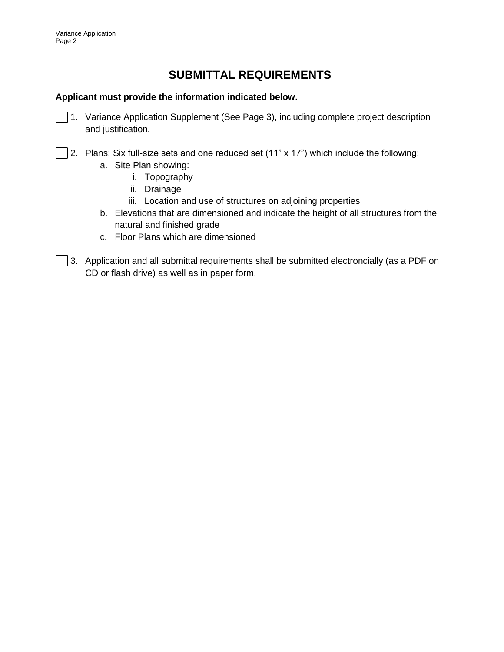## **SUBMITTAL REQUIREMENTS**

### **Applicant must provide the information indicated below.**

- 1. Variance Application Supplement (See Page 3), including complete project description and justification.
- 2. Plans: Six full-size sets and one reduced set (11" x 17") which include the following:
	- a. Site Plan showing:
		- i. Topography
		- ii. Drainage
		- iii. Location and use of structures on adjoining properties
	- b. Elevations that are dimensioned and indicate the height of all structures from the natural and finished grade
	- c. Floor Plans which are dimensioned
- 3. Application and all submittal requirements shall be submitted electroncially (as a PDF on CD or flash drive) as well as in paper form.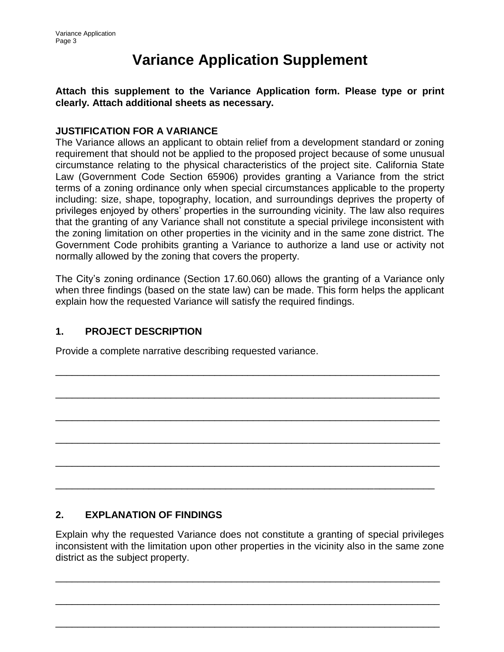# **Variance Application Supplement**

**Attach this supplement to the Variance Application form. Please type or print clearly. Attach additional sheets as necessary.** 

### **JUSTIFICATION FOR A VARIANCE**

The Variance allows an applicant to obtain relief from a development standard or zoning requirement that should not be applied to the proposed project because of some unusual circumstance relating to the physical characteristics of the project site. California State Law (Government Code Section 65906) provides granting a Variance from the strict terms of a zoning ordinance only when special circumstances applicable to the property including: size, shape, topography, location, and surroundings deprives the property of privileges enjoyed by others' properties in the surrounding vicinity. The law also requires that the granting of any Variance shall not constitute a special privilege inconsistent with the zoning limitation on other properties in the vicinity and in the same zone district. The Government Code prohibits granting a Variance to authorize a land use or activity not normally allowed by the zoning that covers the property.

The City's zoning ordinance (Section 17.60.060) allows the granting of a Variance only when three findings (based on the state law) can be made. This form helps the applicant explain how the requested Variance will satisfy the required findings.

\_\_\_\_\_\_\_\_\_\_\_\_\_\_\_\_\_\_\_\_\_\_\_\_\_\_\_\_\_\_\_\_\_\_\_\_\_\_\_\_\_\_\_\_\_\_\_\_\_\_\_\_\_\_\_\_\_\_\_\_\_\_\_\_\_\_\_\_\_\_

\_\_\_\_\_\_\_\_\_\_\_\_\_\_\_\_\_\_\_\_\_\_\_\_\_\_\_\_\_\_\_\_\_\_\_\_\_\_\_\_\_\_\_\_\_\_\_\_\_\_\_\_\_\_\_\_\_\_\_\_\_\_\_\_\_\_\_\_\_\_

\_\_\_\_\_\_\_\_\_\_\_\_\_\_\_\_\_\_\_\_\_\_\_\_\_\_\_\_\_\_\_\_\_\_\_\_\_\_\_\_\_\_\_\_\_\_\_\_\_\_\_\_\_\_\_\_\_\_\_\_\_\_\_\_\_\_\_\_\_\_

\_\_\_\_\_\_\_\_\_\_\_\_\_\_\_\_\_\_\_\_\_\_\_\_\_\_\_\_\_\_\_\_\_\_\_\_\_\_\_\_\_\_\_\_\_\_\_\_\_\_\_\_\_\_\_\_\_\_\_\_\_\_\_\_\_\_\_\_\_\_

\_\_\_\_\_\_\_\_\_\_\_\_\_\_\_\_\_\_\_\_\_\_\_\_\_\_\_\_\_\_\_\_\_\_\_\_\_\_\_\_\_\_\_\_\_\_\_\_\_\_\_\_\_\_\_\_\_\_\_\_\_\_\_\_\_\_\_\_\_\_

\_\_\_\_\_\_\_\_\_\_\_\_\_\_\_\_\_\_\_\_\_\_\_\_\_\_\_\_\_\_\_\_\_\_\_\_\_\_\_\_\_\_\_\_\_\_\_\_\_\_\_\_\_\_\_\_\_\_\_\_\_\_\_\_\_\_\_\_\_

## **1. PROJECT DESCRIPTION**

Provide a complete narrative describing requested variance.

## **2. EXPLANATION OF FINDINGS**

Explain why the requested Variance does not constitute a granting of special privileges inconsistent with the limitation upon other properties in the vicinity also in the same zone district as the subject property.

\_\_\_\_\_\_\_\_\_\_\_\_\_\_\_\_\_\_\_\_\_\_\_\_\_\_\_\_\_\_\_\_\_\_\_\_\_\_\_\_\_\_\_\_\_\_\_\_\_\_\_\_\_\_\_\_\_\_\_\_\_\_\_\_\_\_\_\_\_\_

\_\_\_\_\_\_\_\_\_\_\_\_\_\_\_\_\_\_\_\_\_\_\_\_\_\_\_\_\_\_\_\_\_\_\_\_\_\_\_\_\_\_\_\_\_\_\_\_\_\_\_\_\_\_\_\_\_\_\_\_\_\_\_\_\_\_\_\_\_\_

\_\_\_\_\_\_\_\_\_\_\_\_\_\_\_\_\_\_\_\_\_\_\_\_\_\_\_\_\_\_\_\_\_\_\_\_\_\_\_\_\_\_\_\_\_\_\_\_\_\_\_\_\_\_\_\_\_\_\_\_\_\_\_\_\_\_\_\_\_\_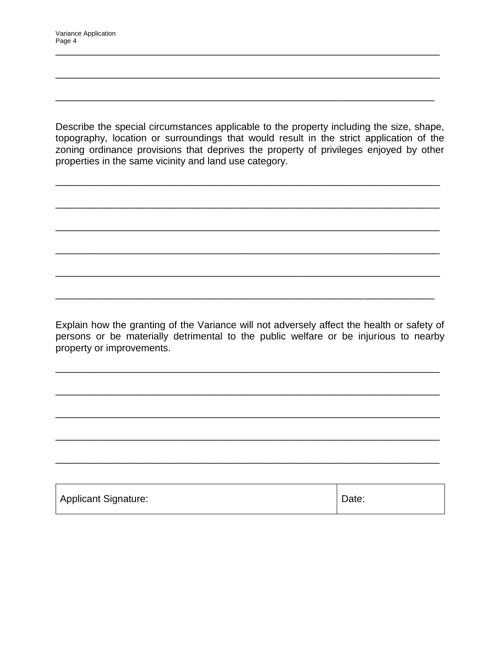Describe the special circumstances applicable to the property including the size, shape, topography, location or surroundings that would result in the strict application of the zoning ordinance provisions that deprives the property of privileges enjoyed by other properties in the same vicinity and land use category.

\_\_\_\_\_\_\_\_\_\_\_\_\_\_\_\_\_\_\_\_\_\_\_\_\_\_\_\_\_\_\_\_\_\_\_\_\_\_\_\_\_\_\_\_\_\_\_\_\_\_\_\_\_\_\_\_\_\_\_\_\_\_\_\_\_\_\_\_\_\_

\_\_\_\_\_\_\_\_\_\_\_\_\_\_\_\_\_\_\_\_\_\_\_\_\_\_\_\_\_\_\_\_\_\_\_\_\_\_\_\_\_\_\_\_\_\_\_\_\_\_\_\_\_\_\_\_\_\_\_\_\_\_\_\_\_\_\_\_\_\_

\_\_\_\_\_\_\_\_\_\_\_\_\_\_\_\_\_\_\_\_\_\_\_\_\_\_\_\_\_\_\_\_\_\_\_\_\_\_\_\_\_\_\_\_\_\_\_\_\_\_\_\_\_\_\_\_\_\_\_\_\_\_\_\_\_\_\_\_\_\_

\_\_\_\_\_\_\_\_\_\_\_\_\_\_\_\_\_\_\_\_\_\_\_\_\_\_\_\_\_\_\_\_\_\_\_\_\_\_\_\_\_\_\_\_\_\_\_\_\_\_\_\_\_\_\_\_\_\_\_\_\_\_\_\_\_\_\_\_\_\_

\_\_\_\_\_\_\_\_\_\_\_\_\_\_\_\_\_\_\_\_\_\_\_\_\_\_\_\_\_\_\_\_\_\_\_\_\_\_\_\_\_\_\_\_\_\_\_\_\_\_\_\_\_\_\_\_\_\_\_\_\_\_\_\_\_\_\_\_\_\_

\_\_\_\_\_\_\_\_\_\_\_\_\_\_\_\_\_\_\_\_\_\_\_\_\_\_\_\_\_\_\_\_\_\_\_\_\_\_\_\_\_\_\_\_\_\_\_\_\_\_\_\_\_\_\_\_\_\_\_\_\_\_\_\_\_\_\_\_\_

\_\_\_\_\_\_\_\_\_\_\_\_\_\_\_\_\_\_\_\_\_\_\_\_\_\_\_\_\_\_\_\_\_\_\_\_\_\_\_\_\_\_\_\_\_\_\_\_\_\_\_\_\_\_\_\_\_\_\_\_\_\_\_\_\_\_\_\_\_\_

\_\_\_\_\_\_\_\_\_\_\_\_\_\_\_\_\_\_\_\_\_\_\_\_\_\_\_\_\_\_\_\_\_\_\_\_\_\_\_\_\_\_\_\_\_\_\_\_\_\_\_\_\_\_\_\_\_\_\_\_\_\_\_\_\_\_\_\_\_\_

\_\_\_\_\_\_\_\_\_\_\_\_\_\_\_\_\_\_\_\_\_\_\_\_\_\_\_\_\_\_\_\_\_\_\_\_\_\_\_\_\_\_\_\_\_\_\_\_\_\_\_\_\_\_\_\_\_\_\_\_\_\_\_\_\_\_\_\_\_

Explain how the granting of the Variance will not adversely affect the health or safety of persons or be materially detrimental to the public welfare or be injurious to nearby property or improvements.

\_\_\_\_\_\_\_\_\_\_\_\_\_\_\_\_\_\_\_\_\_\_\_\_\_\_\_\_\_\_\_\_\_\_\_\_\_\_\_\_\_\_\_\_\_\_\_\_\_\_\_\_\_\_\_\_\_\_\_\_\_\_\_\_\_\_\_\_\_\_

\_\_\_\_\_\_\_\_\_\_\_\_\_\_\_\_\_\_\_\_\_\_\_\_\_\_\_\_\_\_\_\_\_\_\_\_\_\_\_\_\_\_\_\_\_\_\_\_\_\_\_\_\_\_\_\_\_\_\_\_\_\_\_\_\_\_\_\_\_\_

\_\_\_\_\_\_\_\_\_\_\_\_\_\_\_\_\_\_\_\_\_\_\_\_\_\_\_\_\_\_\_\_\_\_\_\_\_\_\_\_\_\_\_\_\_\_\_\_\_\_\_\_\_\_\_\_\_\_\_\_\_\_\_\_\_\_\_\_\_\_

\_\_\_\_\_\_\_\_\_\_\_\_\_\_\_\_\_\_\_\_\_\_\_\_\_\_\_\_\_\_\_\_\_\_\_\_\_\_\_\_\_\_\_\_\_\_\_\_\_\_\_\_\_\_\_\_\_\_\_\_\_\_\_\_\_\_\_\_\_\_

\_\_\_\_\_\_\_\_\_\_\_\_\_\_\_\_\_\_\_\_\_\_\_\_\_\_\_\_\_\_\_\_\_\_\_\_\_\_\_\_\_\_\_\_\_\_\_\_\_\_\_\_\_\_\_\_\_\_\_\_\_\_\_\_\_\_\_\_\_\_

| <b>Applicant Signature:</b> | Date: |
|-----------------------------|-------|
|                             |       |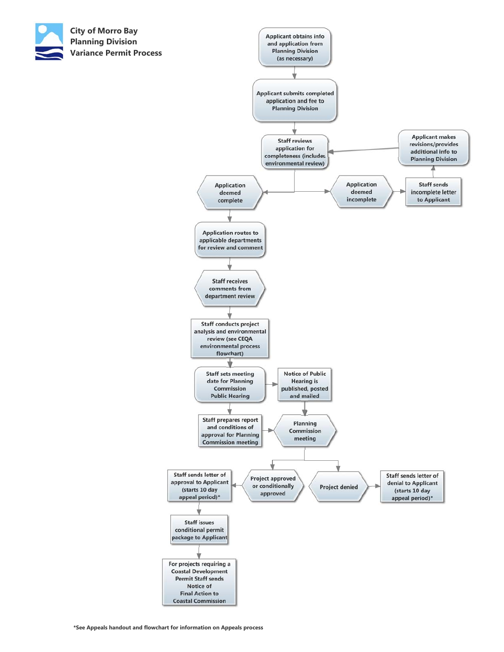